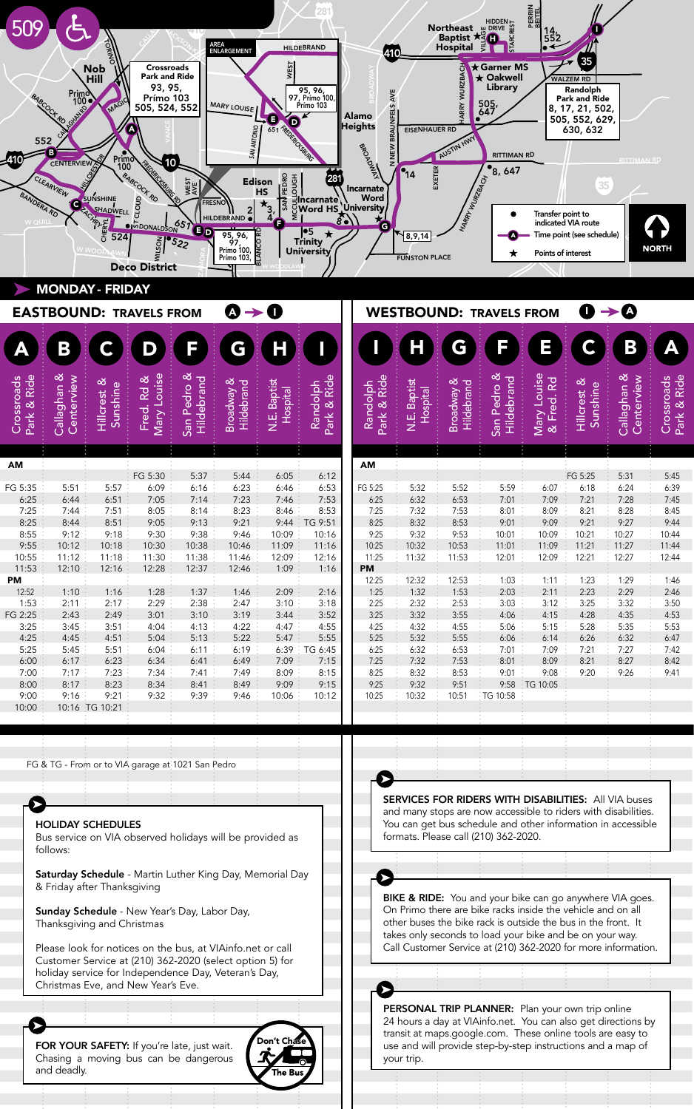| 509                                                                                                                                                                                                                                                                                                                                                                                                                                                                                                                                                                                                                                                                                                                                                                                                                                                                                                                                                                                                                                                                                                                                                                                                                                                                                                                                                                                                                                                                                                                | AREA<br>ENLARGEMENT<br><b>HILDEBRAND</b><br><b>WEST</b><br>Crossroads<br><b>Nob</b><br>Park and Ride<br>Hill<br>93, 95<br>95, 96,<br>97, Prímo 100,<br>Prímo 103<br>$\begin{array}{c}\n\text{Prim} \circ \\ 100 \bullet\n\end{array}$<br><b>BABCOCK RD</b><br>Prímo 103<br>MAG<br><b>MARY LOUISE</b><br>505, 524, 552<br><b>CONSTRUCTION OF CALCULAR CONSTRUCTION</b><br><b>SAN ANTONIO</b><br>552<br>B<br><b>Primo</b><br><b>CENTERVIEW</b><br>10<br>FREDERICES<br>100<br><b>BABCOCK RD</b><br><b>TEDRO</b><br>E<br>B<br>B<br>Sincarnate<br>University<br>University<br>University<br>CLEARVIEW<br>Edison<br><b>WEST</b><br>HS<br>BANDERA RD<br>SUNSHINE<br>CLOUD<br><b>NVS</b><br><b>FRESNO</b><br><b>SHADWELL</b> |                                                                                                                                                                   |                                                                                                                                                            |                                                                                                                                                         |                                                                                                                                                         |                                                                                                                                                          |                                                                                                                                                                              | Northeast<br><b>Northeast</b><br><b>Raptist Age Development</b><br>410<br>35<br>★ Garner MS<br><b>ARRY WURZBACH</b><br>$\star$ Oakwell<br><b>WALZEM RD</b><br>Library<br>Randolph<br>AVE<br>Park and Ride<br>505<br><b>INFELS</b><br>8, 17, 21, 502,<br>Alamo<br>505, 552, 629,<br>leights<br><b>BRAL</b><br><b>EISENHAUER RD</b><br>630, 632<br>AUSTIN HWY<br>BROADWAY<br>NEW<br><b>RITTIMAN RD</b><br><b>RITTIMAN RD</b><br>•8,<br>EXETER<br>$\bullet$ <sup>14</sup><br>647<br><b>HARRY WURZBACH</b><br>35<br>Transfer point to |                                                                                                                                                  |                                                                                                                                                  |                                                                                                                                             |                                                                                                                                                  |                                                                                                                                            |                                                                                                                                         |                                                                                                                                         |
|--------------------------------------------------------------------------------------------------------------------------------------------------------------------------------------------------------------------------------------------------------------------------------------------------------------------------------------------------------------------------------------------------------------------------------------------------------------------------------------------------------------------------------------------------------------------------------------------------------------------------------------------------------------------------------------------------------------------------------------------------------------------------------------------------------------------------------------------------------------------------------------------------------------------------------------------------------------------------------------------------------------------------------------------------------------------------------------------------------------------------------------------------------------------------------------------------------------------------------------------------------------------------------------------------------------------------------------------------------------------------------------------------------------------------------------------------------------------------------------------------------------------|----------------------------------------------------------------------------------------------------------------------------------------------------------------------------------------------------------------------------------------------------------------------------------------------------------------------------------------------------------------------------------------------------------------------------------------------------------------------------------------------------------------------------------------------------------------------------------------------------------------------------------------------------------------------------------------------------------------------|-------------------------------------------------------------------------------------------------------------------------------------------------------------------|------------------------------------------------------------------------------------------------------------------------------------------------------------|---------------------------------------------------------------------------------------------------------------------------------------------------------|---------------------------------------------------------------------------------------------------------------------------------------------------------|----------------------------------------------------------------------------------------------------------------------------------------------------------|------------------------------------------------------------------------------------------------------------------------------------------------------------------------------|-----------------------------------------------------------------------------------------------------------------------------------------------------------------------------------------------------------------------------------------------------------------------------------------------------------------------------------------------------------------------------------------------------------------------------------------------------------------------------------------------------------------------------------|--------------------------------------------------------------------------------------------------------------------------------------------------|--------------------------------------------------------------------------------------------------------------------------------------------------|---------------------------------------------------------------------------------------------------------------------------------------------|--------------------------------------------------------------------------------------------------------------------------------------------------|--------------------------------------------------------------------------------------------------------------------------------------------|-----------------------------------------------------------------------------------------------------------------------------------------|-----------------------------------------------------------------------------------------------------------------------------------------|
| Park & Ride<br>Crossroads                                                                                                                                                                                                                                                                                                                                                                                                                                                                                                                                                                                                                                                                                                                                                                                                                                                                                                                                                                                                                                                                                                                                                                                                                                                                                                                                                                                                                                                                                          | <b>MONDAY - FRIDAY</b><br>В<br>Callaghan &<br>Centerview                                                                                                                                                                                                                                                                                                                                                                                                                                                                                                                                                                                                                                                             | 524<br>Hillcrest &<br>Sunshine                                                                                                                                    | <b>OI</b> MDONALDSON<br>MUSCIN<br><b>Deco District</b><br><b>EASTBOUND: TRAVELS FROM</b><br>Mary Louise<br>త<br><b>Rd</b><br>Fred.                         | $\bigoplus$<br>522<br>San Pedro &<br>Hildebrand                                                                                                         | HILDEBRAND<br>BLANCO RD<br>95, 96,<br>97,<br>Prímo 100,<br>Prímo 103,<br>$\mathbf{\Omega} \rightarrow \mathbf{0}$<br>С<br>Broadway &<br>Hildebrand      | Σ<br><b>N.E. Baptist</b><br>Hospital                                                                                                                     | •5<br><b>Trinity</b><br>University<br>Park & Ride<br>Randolph                                                                                                                | G<br>Park & Ride<br>Randolph                                                                                                                                                                                                                                                                                                                                                                                                                                                                                                      | 8,9,14<br><b>FUNSTON PLACE</b><br><b>N.E. Baptist</b><br>Hospital                                                                                | <b>WESTBOUND: TRAVELS FROM</b><br><b>Broadway &amp;</b><br>Hildebrand                                                                            | San Pedro &<br>Hildebrand                                                                                                                   | Points of interest<br>Ξ<br>Mary Louise<br>& Fred. Rd                                                                                             | indicated VIA route<br>Time point (see schedule)<br>Hillcrest &<br>Sunshine                                                                | $\mathbf{0} \rightarrow 0$<br>В<br>Callaghan &<br>Centerview                                                                            | <b>NORTH</b><br>Park & Ride<br>Crossroads                                                                                               |
| AM<br>FG 5:35<br>6:25<br>7:25<br>8:25<br>8:55<br>9:55<br>10:55<br>11:53<br>PM<br>12:52<br>1:53<br>FG 2:25<br>3:25<br>4:25<br>5:25<br>6:00<br>7:00<br>8:00<br>9:00<br>10:00                                                                                                                                                                                                                                                                                                                                                                                                                                                                                                                                                                                                                                                                                                                                                                                                                                                                                                                                                                                                                                                                                                                                                                                                                                                                                                                                         | 5:51<br>6:44<br>7:44<br>8:44<br>9:12<br>10:12<br>11:12<br>12:10<br>1:10<br>2:11<br>2:43<br>3:45<br>4:45<br>5:45<br>6:17<br>7:17<br>8:17<br>9:16                                                                                                                                                                                                                                                                                                                                                                                                                                                                                                                                                                      | 5:57<br>6:51<br>7:51<br>8:51<br>9:18<br>10:18<br>11:18<br>12:16<br>1:16<br>2:17<br>2:49<br>3:51<br>4:51<br>5:51<br>6:23<br>7:23<br>8:23<br>9:21<br>10:16 TG 10:21 | FG 5:30<br>6:09<br>7:05<br>8:05<br>9:05<br>9:30<br>10:30<br>11:30<br>12:28<br>1:28<br>2:29<br>3:01<br>4:04<br>5:04<br>6:04<br>6:34<br>7:34<br>8:34<br>9:32 | 5:37<br>6:16<br>7:14<br>8:14<br>9:13<br>9:38<br>10:38<br>11:38<br>12:37<br>1:37<br>2:38<br>3:10<br>4:13<br>5:13<br>6:11<br>6:41<br>7:41<br>8:41<br>9:39 | 5:44<br>6:23<br>7:23<br>8:23<br>9:21<br>9:46<br>10:46<br>11:46<br>12:46<br>1:46<br>2:47<br>3:19<br>4:22<br>5:22<br>6:19<br>6:49<br>7:49<br>8:49<br>9:46 | 6:05<br>6:46<br>7:46<br>8:46<br>9:44<br>10:09<br>11:09<br>12:09<br>1:09<br>2:09<br>3:10<br>3:44<br>4:47<br>5:47<br>6:39<br>7:09<br>8:09<br>9:09<br>10:06 | 6:12<br>6:53<br>7:53<br>8:53<br>TG 9:51<br>10:16<br>11:16<br>12:16<br>1:16<br>2:16<br>3:18<br>3:52<br>4:55<br>5:55<br>$\frac{1}{2}$ TG 6:45<br>7:15<br>8:15<br>9:15<br>10:12 | AM<br>FG 5:25<br>6:25<br>7:25<br>8:25<br>9:25<br>10:25<br>11:25<br>PM<br>12:25<br>1:25<br>2:25<br>3:25<br>4:25<br>5:25<br>6:25<br>7:25<br>8:25<br>9:25<br>10:25                                                                                                                                                                                                                                                                                                                                                                   | 5:32<br>6:32<br>7:32<br>8:32<br>9:32<br>10:32<br>11:32<br>12:32<br>1:32<br>2:32<br>3:32<br>4:32<br>5:32<br>6:32<br>7:32<br>8:32<br>9:32<br>10:32 | 5:52<br>6:53<br>7:53<br>8:53<br>9:53<br>10:53<br>11:53<br>12:53<br>1:53<br>2:53<br>3:55<br>4:55<br>5:55<br>6:53<br>7:53<br>8:53<br>9:51<br>10:51 | 5:59<br>7:01<br>8:01<br>9:01<br>10:01<br>11:01<br>12:01<br>1:03<br>2:03<br>3:03<br>4:06<br>5:06<br>6:06<br>7:01<br>8:01<br>9:01<br>TG 10:58 | 6:07<br>7:09<br>8:09<br>9:09<br>10:09<br>11:09<br>12:09<br>1:11<br>2:11<br>3:12<br>4:15<br>5:15<br>6:14<br>7:09<br>8:09<br>9:08<br>9:58 TG 10:05 | FG 5:25<br>6:18<br>7:21<br>8:21<br>9:21<br>10:21<br>11:21<br>12:21<br>1:23<br>2:23<br>3:25<br>4:28<br>5:28<br>6:26<br>7:21<br>8:21<br>9:20 | 5:31<br>6:24<br>7:28<br>8:28<br>9:27<br>10:27<br>11:27<br>12:27<br>1:29<br>2:29<br>3:32<br>4:35<br>5:35<br>6:32<br>7:27<br>8:27<br>9:26 | 5:45<br>6:39<br>7:45<br>8:45<br>9:44<br>10:44<br>11:44<br>12:44<br>1:46<br>2:46<br>3:50<br>4:53<br>5:53<br>6:47<br>7:42<br>8:42<br>9:41 |
| FG & TG - From or to VIA garage at 1021 San Pedro<br>SERVICES FOR RIDERS WITH DISABILITIES: All VIA buses<br>and many stops are now accessible to riders with disabilities.<br>You can get bus schedule and other information in accessible<br><b>HOLIDAY SCHEDULES</b><br>formats. Please call (210) 362-2020.<br>Bus service on VIA observed holidays will be provided as<br>follows:<br>Saturday Schedule - Martin Luther King Day, Memorial Day<br>& Friday after Thanksgiving<br>BIKE & RIDE: You and your bike can go anywhere VIA goes.<br>On Primo there are bike racks inside the vehicle and on all<br>Sunday Schedule - New Year's Day, Labor Day,<br>other buses the bike rack is outside the bus in the front. It<br>Thanksgiving and Christmas<br>takes only seconds to load your bike and be on your way.<br>Call Customer Service at (210) 362-2020 for more information.<br>Please look for notices on the bus, at VIAinfo.net or call<br>Customer Service at (210) 362-2020 (select option 5) for<br>holiday service for Independence Day, Veteran's Day,<br>Christmas Eve, and New Year's Eve.<br>PERSONAL TRIP PLANNER: Plan your own trip online<br>24 hours a day at VIAinfo.net. You can also get directions by<br>transit at maps.google.com. These online tools are easy to<br>Don't Chase<br>FOR YOUR SAFETY: If you're late, just wait.<br>use and will provide step-by-step instructions and a map of<br>Chasing a moving bus can be dangerous<br>your trip.<br>and deadly.<br>The Bus |                                                                                                                                                                                                                                                                                                                                                                                                                                                                                                                                                                                                                                                                                                                      |                                                                                                                                                                   |                                                                                                                                                            |                                                                                                                                                         |                                                                                                                                                         |                                                                                                                                                          |                                                                                                                                                                              |                                                                                                                                                                                                                                                                                                                                                                                                                                                                                                                                   |                                                                                                                                                  |                                                                                                                                                  |                                                                                                                                             |                                                                                                                                                  |                                                                                                                                            |                                                                                                                                         |                                                                                                                                         |